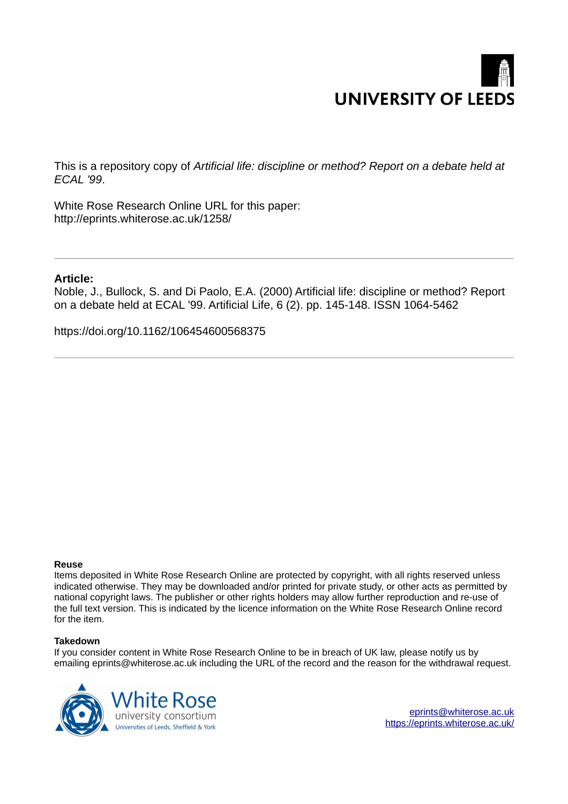# **UNIVERSITY OF LEEDS**

This is a repository copy of *Artificial life: discipline or method? Report on a debate held at ECAL '99*.

White Rose Research Online URL for this paper: http://eprints.whiterose.ac.uk/1258/

### **Article:**

Noble, J., Bullock, S. and Di Paolo, E.A. (2000) Artificial life: discipline or method? Report on a debate held at ECAL '99. Artificial Life, 6 (2). pp. 145-148. ISSN 1064-5462

https://doi.org/10.1162/106454600568375

#### **Reuse**

Items deposited in White Rose Research Online are protected by copyright, with all rights reserved unless indicated otherwise. They may be downloaded and/or printed for private study, or other acts as permitted by national copyright laws. The publisher or other rights holders may allow further reproduction and re-use of the full text version. This is indicated by the licence information on the White Rose Research Online record for the item.

#### **Takedown**

If you consider content in White Rose Research Online to be in breach of UK law, please notify us by emailing eprints@whiterose.ac.uk including the URL of the record and the reason for the withdrawal request.



[eprints@whiterose.ac.uk](mailto:eprints@whiterose.ac.uk) <https://eprints.whiterose.ac.uk/>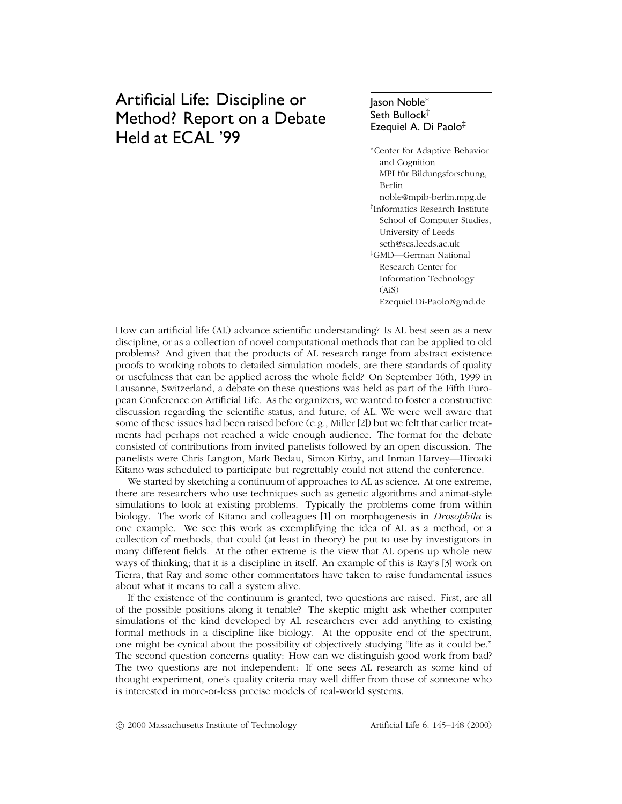## Artificial Life: Discipline or Method? Report on a Debate Held at ECAL '99

Jason Noble<sup>∗</sup> Seth Bullock† Ezequiel A. Di Paolo‡

<sup>∗</sup>Center for Adaptive Behavior and Cognition MPI für Bildungsforschung, Berlin noble@mpib-berlin.mpg.de † Informatics Research Institute School of Computer Studies, University of Leeds seth@scs.leeds.ac.uk ‡GMD—German National Research Center for Information Technology (AiS) Ezequiel.Di-Paolo@gmd.de

How can artificial life (AL) advance scientific understanding? Is AL best seen as a new discipline, or as a collection of novel computational methods that can be applied to old problems? And given that the products of AL research range from abstract existence proofs to working robots to detailed simulation models, are there standards of quality or usefulness that can be applied across the whole field? On September 16th, 1999 in Lausanne, Switzerland, a debate on these questions was held as part of the Fifth European Conference on Artificial Life. As the organizers, we wanted to foster a constructive discussion regarding the scientific status, and future, of AL. We were well aware that some of these issues had been raised before (e.g., Miller [2]) but we felt that earlier treatments had perhaps not reached a wide enough audience. The format for the debate consisted of contributions from invited panelists followed by an open discussion. The panelists were Chris Langton, Mark Bedau, Simon Kirby, and Inman Harvey—Hiroaki Kitano was scheduled to participate but regrettably could not attend the conference.

We started by sketching a continuum of approaches to AL as science. At one extreme, there are researchers who use techniques such as genetic algorithms and animat-style simulations to look at existing problems. Typically the problems come from within biology. The work of Kitano and colleagues [1] on morphogenesis in *Drosophila* is one example. We see this work as exemplifying the idea of AL as a method, or a collection of methods, that could (at least in theory) be put to use by investigators in many different fields. At the other extreme is the view that AL opens up whole new ways of thinking; that it is a discipline in itself. An example of this is Ray's [3] work on Tierra, that Ray and some other commentators have taken to raise fundamental issues about what it means to call a system alive.

If the existence of the continuum is granted, two questions are raised. First, are all of the possible positions along it tenable? The skeptic might ask whether computer simulations of the kind developed by AL researchers ever add anything to existing formal methods in a discipline like biology. At the opposite end of the spectrum, one might be cynical about the possibility of objectively studying "life as it could be." The second question concerns quality: How can we distinguish good work from bad? The two questions are not independent: If one sees AL research as some kind of thought experiment, one's quality criteria may well differ from those of someone who is interested in more-or-less precise models of real-world systems.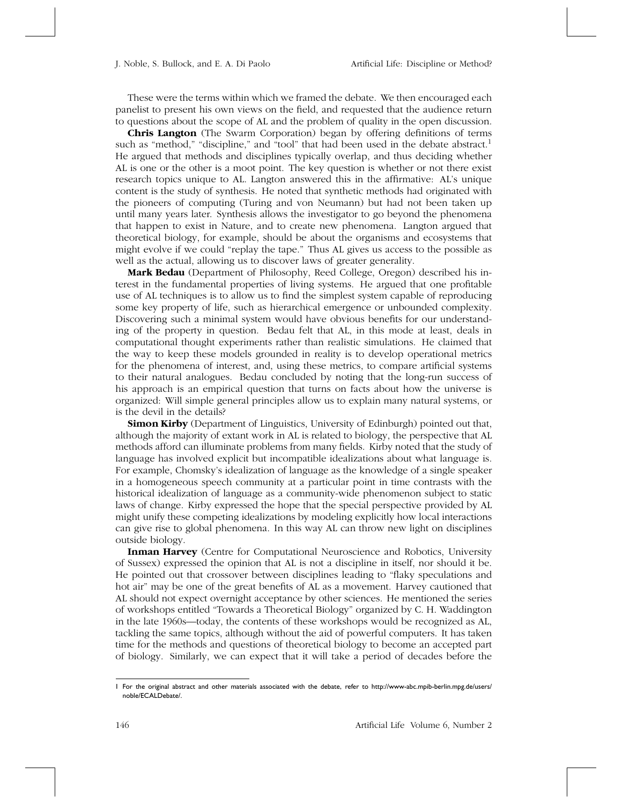These were the terms within which we framed the debate. We then encouraged each panelist to present his own views on the field, and requested that the audience return to questions about the scope of AL and the problem of quality in the open discussion.

**Chris Langton** (The Swarm Corporation) began by offering definitions of terms such as "method," "discipline," and "tool" that had been used in the debate abstract.<sup>1</sup> He argued that methods and disciplines typically overlap, and thus deciding whether AL is one or the other is a moot point. The key question is whether or not there exist research topics unique to AL. Langton answered this in the affirmative: AL's unique content is the study of synthesis. He noted that synthetic methods had originated with the pioneers of computing (Turing and von Neumann) but had not been taken up until many years later. Synthesis allows the investigator to go beyond the phenomena that happen to exist in Nature, and to create new phenomena. Langton argued that theoretical biology, for example, should be about the organisms and ecosystems that might evolve if we could "replay the tape." Thus AL gives us access to the possible as well as the actual, allowing us to discover laws of greater generality.

**Mark Bedau** (Department of Philosophy, Reed College, Oregon) described his interest in the fundamental properties of living systems. He argued that one profitable use of AL techniques is to allow us to find the simplest system capable of reproducing some key property of life, such as hierarchical emergence or unbounded complexity. Discovering such a minimal system would have obvious benefits for our understanding of the property in question. Bedau felt that AL, in this mode at least, deals in computational thought experiments rather than realistic simulations. He claimed that the way to keep these models grounded in reality is to develop operational metrics for the phenomena of interest, and, using these metrics, to compare artificial systems to their natural analogues. Bedau concluded by noting that the long-run success of his approach is an empirical question that turns on facts about how the universe is organized: Will simple general principles allow us to explain many natural systems, or is the devil in the details?

**Simon Kirby** (Department of Linguistics, University of Edinburgh) pointed out that, although the majority of extant work in AL is related to biology, the perspective that AL methods afford can illuminate problems from many fields. Kirby noted that the study of language has involved explicit but incompatible idealizations about what language is. For example, Chomsky's idealization of language as the knowledge of a single speaker in a homogeneous speech community at a particular point in time contrasts with the historical idealization of language as a community-wide phenomenon subject to static laws of change. Kirby expressed the hope that the special perspective provided by AL might unify these competing idealizations by modeling explicitly how local interactions can give rise to global phenomena. In this way AL can throw new light on disciplines outside biology.

**Inman Harvey** (Centre for Computational Neuroscience and Robotics, University of Sussex) expressed the opinion that AL is not a discipline in itself, nor should it be. He pointed out that crossover between disciplines leading to "flaky speculations and hot air" may be one of the great benefits of AL as a movement. Harvey cautioned that AL should not expect overnight acceptance by other sciences. He mentioned the series of workshops entitled "Towards a Theoretical Biology" organized by C. H. Waddington in the late 1960s—today, the contents of these workshops would be recognized as AL, tackling the same topics, although without the aid of powerful computers. It has taken time for the methods and questions of theoretical biology to become an accepted part of biology. Similarly, we can expect that it will take a period of decades before the

<sup>1</sup> For the original abstract and other materials associated with the debate, refer to http://www-abc.mpib-berlin.mpg.de/users/ noble/ECALDebate/.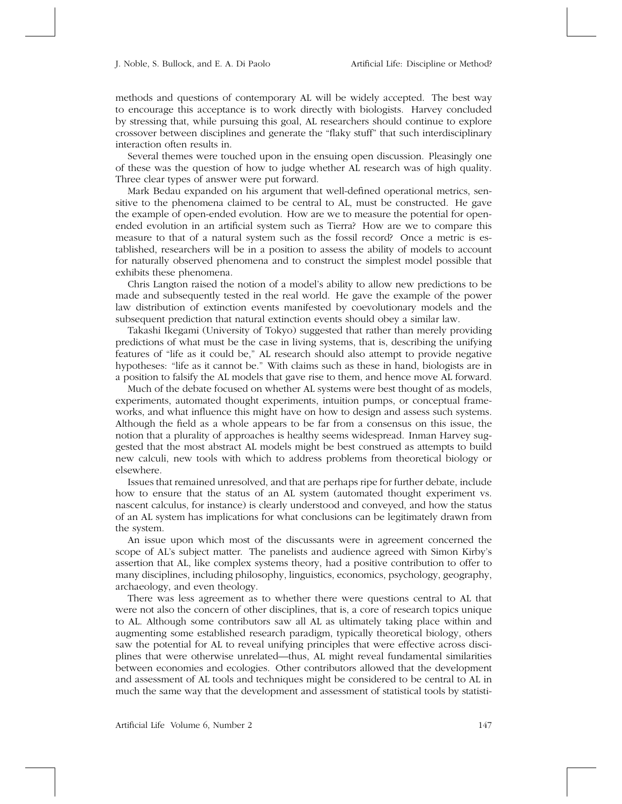J. Noble, S. Bullock, and E. A. Di Paolo Artificial Life: Discipline or Method?

methods and questions of contemporary AL will be widely accepted. The best way to encourage this acceptance is to work directly with biologists. Harvey concluded by stressing that, while pursuing this goal, AL researchers should continue to explore crossover between disciplines and generate the "flaky stuff" that such interdisciplinary interaction often results in.

Several themes were touched upon in the ensuing open discussion. Pleasingly one of these was the question of how to judge whether AL research was of high quality. Three clear types of answer were put forward.

Mark Bedau expanded on his argument that well-defined operational metrics, sensitive to the phenomena claimed to be central to AL, must be constructed. He gave the example of open-ended evolution. How are we to measure the potential for openended evolution in an artificial system such as Tierra? How are we to compare this measure to that of a natural system such as the fossil record? Once a metric is established, researchers will be in a position to assess the ability of models to account for naturally observed phenomena and to construct the simplest model possible that exhibits these phenomena.

Chris Langton raised the notion of a model's ability to allow new predictions to be made and subsequently tested in the real world. He gave the example of the power law distribution of extinction events manifested by coevolutionary models and the subsequent prediction that natural extinction events should obey a similar law.

Takashi Ikegami (University of Tokyo) suggested that rather than merely providing predictions of what must be the case in living systems, that is, describing the unifying features of "life as it could be," AL research should also attempt to provide negative hypotheses: "life as it cannot be." With claims such as these in hand, biologists are in a position to falsify the AL models that gave rise to them, and hence move AL forward.

Much of the debate focused on whether AL systems were best thought of as models, experiments, automated thought experiments, intuition pumps, or conceptual frameworks, and what influence this might have on how to design and assess such systems. Although the field as a whole appears to be far from a consensus on this issue, the notion that a plurality of approaches is healthy seems widespread. Inman Harvey suggested that the most abstract AL models might be best construed as attempts to build new calculi, new tools with which to address problems from theoretical biology or elsewhere.

Issues that remained unresolved, and that are perhaps ripe for further debate, include how to ensure that the status of an AL system (automated thought experiment vs. nascent calculus, for instance) is clearly understood and conveyed, and how the status of an AL system has implications for what conclusions can be legitimately drawn from the system.

An issue upon which most of the discussants were in agreement concerned the scope of AL's subject matter. The panelists and audience agreed with Simon Kirby's assertion that AL, like complex systems theory, had a positive contribution to offer to many disciplines, including philosophy, linguistics, economics, psychology, geography, archaeology, and even theology.

There was less agreement as to whether there were questions central to AL that were not also the concern of other disciplines, that is, a core of research topics unique to AL. Although some contributors saw all AL as ultimately taking place within and augmenting some established research paradigm, typically theoretical biology, others saw the potential for AL to reveal unifying principles that were effective across disciplines that were otherwise unrelated—thus, AL might reveal fundamental similarities between economies and ecologies. Other contributors allowed that the development and assessment of AL tools and techniques might be considered to be central to AL in much the same way that the development and assessment of statistical tools by statisti